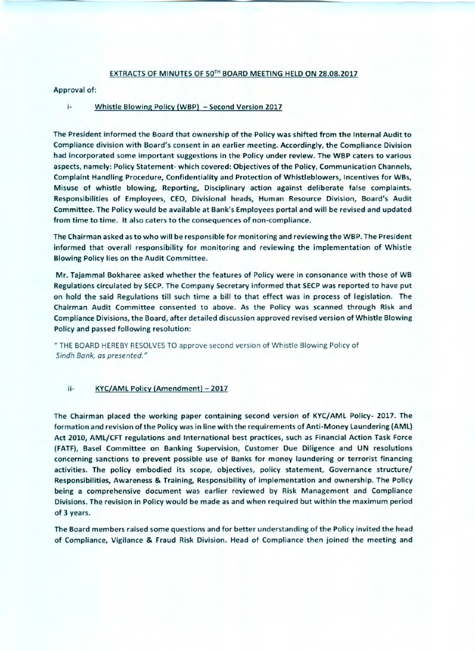#### EXTRACTS OF MINUTES OF 50TH BOARD MEETING HELD ON 28.08.2017

Approval of:

#### j-Whistle Blowing Policy (WBP) - Second Version 2017

The President informed the Board that ownership of the Policy was shifted from the Internal Audit to Compliance division with Board's consent in an earlier meeting. Accordingly, the Compliance Division had incorporated some important suggestions in the Policy under review. The WBP caters to various aspects, namely: Policy Statement- which covered: Objectives of the Policy, Communication Channels, Complaint Handling Procedure, Confidentiality and Protection of Whistleblowers, Incentives for WBs, Misuse of whistle blowing, Reporting, Disciplinary action against deliberate false complaints. Responsibilities of Employees, CEO, Divisional heads, Human Resource Division, Board's Audit Committee. The Policy would be available at Bank's Employees portal and will be revised and updated from time to time. It also caters to the consequences of non-compliance.

The Chairman asked as to who will be responsible for monitoring and reviewing the WBP. The President informed that overall responsibility for monitoring and reviewing the implementation of Whistle Blowing Policy lies on the Audit Committee.

Mr. Tajammal **Bokharee asked** whether the features of Policy were in consonance with those of WB Regulations circulated by SECP. The Company Secretary informed that SECP was reported to have put on hold the said Regulations till such time a bill to that effect was in process of legislation. The Chairman Audit Committee consented to above. As the Policy was scanned through Risk and Compliance Divisions, the Board, after detailed discussion approved revised version of Whistle Blowing Policy and passed following resolution:

THE BOARD HEREBY RESOLVES TO approve second version of Whistle Blowing Policy of Sindh Bank, as presented."

#### ii- KYC/AML Policy (Amendment) - 2017

The Chairman placed the working paper containing second version of KYC/AML Policy- 2017. The formation and revision of the Policy was in line with the requirements of Anti-Money Laundering (AML) Act 2010, AML/CFT regulations and International best practices, such as Financial Action Task Force (FATF), Basel Committee on Banking Supervision, Customer Due Diligence and UN resolutions concerning sanctions to **prevent possible use of Banks** for money laundering or terrorist financing activities. The policy embodied its scope, objectives, policy statement, Governance structure/ Responsibilities, Awareness & Training, Responsibility of implementation and ownership. The Policy being a comprehensive document was earlier reviewed by Risk Management and Compliance Divisions. The revision in Policy would be made as and when required but within the maximum period of 3 years.

The Board members raised some questions and for better understanding of the Policy invited the head of Compliance, Vigilance & Fraud Risk Division. Head of Compliance then joined the meeting and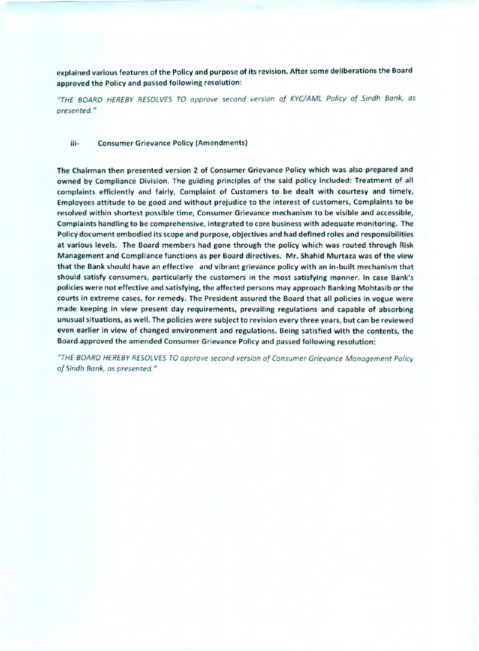**explained various features of the Policy and purpose of its revision. After some deliberations the Board approved the Policy and passed following resolution:** 

**"THE BOARD HEREBY RESOLVES TO approve second version of KYC/AML Policy of Sindh Bank, as presented."** 

#### **iii- Consumer Grievance Policy (Amendments)**

**The Chairman then presented version 2 of Consumer Grievance Policy which was also prepared and owned by Compliance Division. The guiding principles of the said policy included: Treatment of all complaints efficiently and fairly, Complaint of Customers to be dealt with courtesy and timely, Employees** attitude **to be good and without prejudice to the interest of customers, Complaints to be resolved within shortest possible time, Consumer Grievance mechanism to be visible and accessible, Complaints handling to be comprehensive, integrated to core business with adequate monitoring. The Policy document embodied its scope and purpose, objectives and had defined roles and responsibilities at various levels. The Board members had gone through the policy which was routed through Risk Management and Compliance functions as per Board directives. Mr. Shahid Murtaza was of the view that the Bank should have an effective and vibrant grievance policy with an in-built mechanism that should satisfy consumers, particularly the customers in the most satisfying manner. In case Bank's policies were not effective and satisfying, the affected persons may approach Banking Mohtasib or the courts in extreme cases, for remedy. The President assured the Board that all policies in vogue were made keeping in view present day requirements, prevailing regulations and capable of absorbing unusual situations, as well. The policies were subject to revision every three years, but can be reviewed even earlier in view of changed environment and regulations. Being satisfied with the contents, the Board approved the amended Consumer Grievance Policy and passed following resolution:** 

**"THE BOARD HEREBY RESOLVES TO approve second version of Consumer Grievance Management Policy of Sindh Bank, as presented."**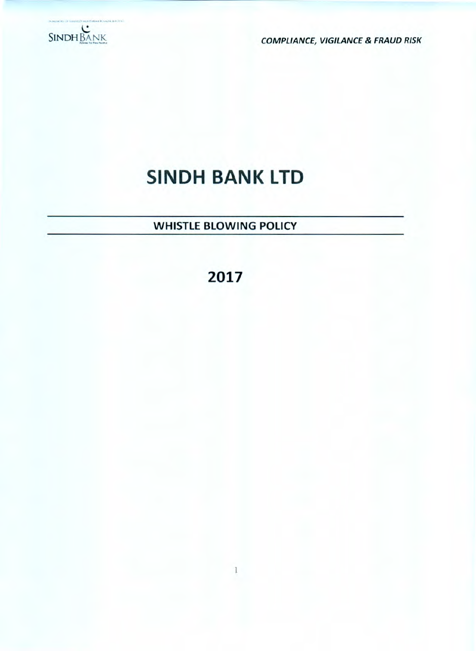

**COMPLIANCE, VIGILANCE & FRAUD RISK** 

## SINDH BANK LTD

### WHISTLE BLOWING POLICY

### **2017**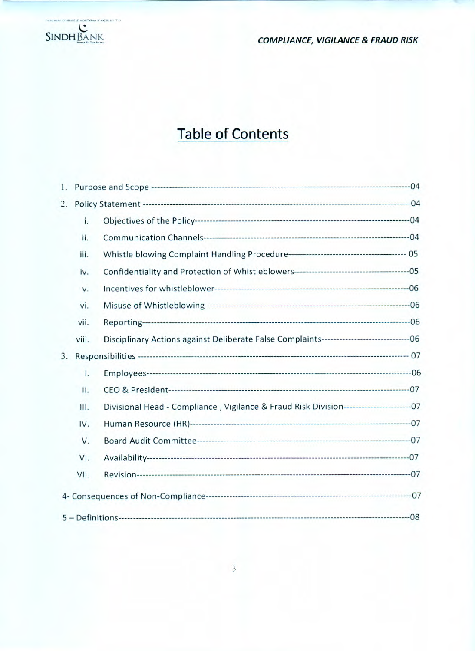

## Table of Contents

| 1. |       |                                                                                               |  |
|----|-------|-----------------------------------------------------------------------------------------------|--|
| 2. |       |                                                                                               |  |
|    | i.    |                                                                                               |  |
|    | ii.   |                                                                                               |  |
|    | iii.  |                                                                                               |  |
|    | iv.   |                                                                                               |  |
|    | V.    |                                                                                               |  |
|    | vi.   |                                                                                               |  |
|    | vii.  |                                                                                               |  |
|    | viii. | Disciplinary Actions against Deliberate False Complaints-----------------------------------06 |  |
| 3. |       |                                                                                               |  |
|    | 1.    |                                                                                               |  |
|    | Ш.    |                                                                                               |  |
|    | Ш.    | Divisional Head - Compliance, Vigilance & Fraud Risk Division--------------------------07     |  |
|    | IV.   |                                                                                               |  |
|    | V.    |                                                                                               |  |
|    | VI.   |                                                                                               |  |
|    | VII.  |                                                                                               |  |
|    |       |                                                                                               |  |
|    |       |                                                                                               |  |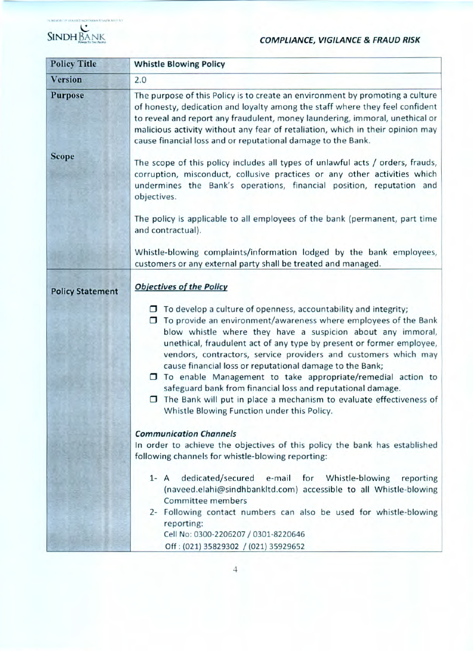# **SINDH BANK COMPLIANCE, VIGILANCE & FRAUD RISK**



| <b>Policy Title</b>     | <b>Whistle Blowing Policy</b>                                                                                                                                                                                                                                                                                                                                                                                                                                                                                                                                                                                                                                              |  |  |  |
|-------------------------|----------------------------------------------------------------------------------------------------------------------------------------------------------------------------------------------------------------------------------------------------------------------------------------------------------------------------------------------------------------------------------------------------------------------------------------------------------------------------------------------------------------------------------------------------------------------------------------------------------------------------------------------------------------------------|--|--|--|
| <b>Version</b>          | 2.0                                                                                                                                                                                                                                                                                                                                                                                                                                                                                                                                                                                                                                                                        |  |  |  |
| <b>Purpose</b>          | The purpose of this Policy is to create an environment by promoting a culture<br>of honesty, dedication and loyalty among the staff where they feel confident<br>to reveal and report any fraudulent, money laundering, immoral, unethical or<br>malicious activity without any fear of retaliation, which in their opinion may<br>cause financial loss and or reputational damage to the Bank.                                                                                                                                                                                                                                                                            |  |  |  |
| <b>Scope</b>            | The scope of this policy includes all types of unlawful acts / orders, frauds,<br>corruption, misconduct, collusive practices or any other activities which<br>undermines the Bank's operations, financial position, reputation and<br>objectives.                                                                                                                                                                                                                                                                                                                                                                                                                         |  |  |  |
|                         | The policy is applicable to all employees of the bank (permanent, part time<br>and contractual).                                                                                                                                                                                                                                                                                                                                                                                                                                                                                                                                                                           |  |  |  |
|                         | Whistle-blowing complaints/information lodged by the bank employees,<br>customers or any external party shall be treated and managed.                                                                                                                                                                                                                                                                                                                                                                                                                                                                                                                                      |  |  |  |
| <b>Policy Statement</b> | <b>Objectives of the Policy</b>                                                                                                                                                                                                                                                                                                                                                                                                                                                                                                                                                                                                                                            |  |  |  |
|                         | $\Box$ To develop a culture of openness, accountability and integrity;<br>To provide an environment/awareness where employees of the Bank<br>blow whistle where they have a suspicion about any immoral,<br>unethical, fraudulent act of any type by present or former employee,<br>vendors, contractors, service providers and customers which may<br>cause financial loss or reputational damage to the Bank;<br>$\Box$ To enable Management to take appropriate/remedial action to<br>safeguard bank from financial loss and reputational damage.<br>The Bank will put in place a mechanism to evaluate effectiveness of<br>Whistle Blowing Function under this Policy. |  |  |  |
|                         | <b>Communication Channels</b><br>In order to achieve the objectives of this policy the bank has established<br>following channels for whistle-blowing reporting:                                                                                                                                                                                                                                                                                                                                                                                                                                                                                                           |  |  |  |
|                         | dedicated/secured<br>e-mail for<br>Whistle-blowing<br>$1 - A$<br>reporting<br>(naveed.elahi@sindhbankltd.com) accessible to all Whistle-blowing<br>Committee members<br>2- Following contact numbers can also be used for whistle-blowing                                                                                                                                                                                                                                                                                                                                                                                                                                  |  |  |  |
|                         | reporting:<br>Cell No: 0300-2206207 / 0301-8220646<br>Off: (021) 35829302 / (021) 35929652                                                                                                                                                                                                                                                                                                                                                                                                                                                                                                                                                                                 |  |  |  |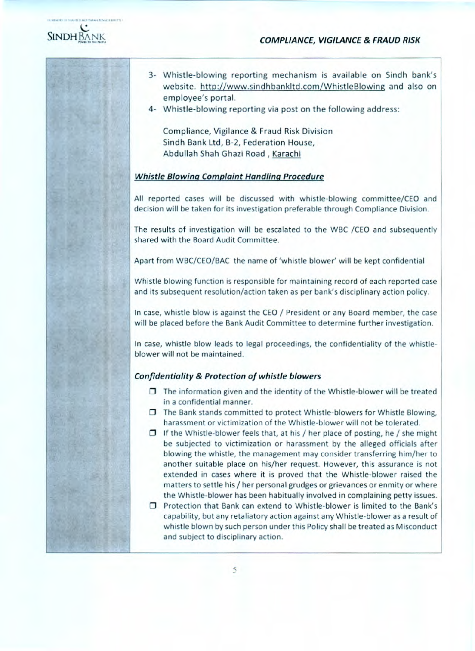

% MESERIES.COMMELTIS MONTABAA ICS/AZER BHILITICE

- 3- Whistle-blowing reporting mechanism is available on Sindh bank's website. http://www.sindhbankltd.com/WhistleBlowing and also on employee's portal.
- 4- Whistle-blowing reporting via post on the following address:

Compliance, Vigilance & Fraud Risk Division Sindh Bank Ltd, B-2, Federation House, Abdullah Shah Ghazi Road, Karachi

#### Whistle Blowinq Complaint Handlinq Procedure

All reported cases will be discussed with whistle-blowing committee/CEO and decision will be taken for its investigation preferable through Compliance Division.

The results of investigation will be escalated to the WBC /CEO and subsequently shared with the Board Audit Committee.

Apart from WBC/CEO/BAC the name of 'whistle blower' will be kept confidential

Whistle blowing function is responsible for maintaining record of each reported case and its subsequent resolution/action taken as per bank's disciplinary action policy.

In case, whistle blow is against the CEO / President or any Board member, the case will be placed before the Bank Audit Committee to determine further investigation.

In case, whistle blow leads to legal proceedings, the confidentiality of the whistleblower will not be maintained.

#### Confidentiality & Protection of whistle blowers

- $\Box$  The information given and the identity of the Whistle-blower will be treated in a confidential manner.
- $\Box$  The Bank stands committed to protect Whistle-blowers for Whistle Blowing, harassment or victimization of the Whistle-blower will not be tolerated.
- $\Box$  If the Whistle-blower feels that, at his / her place of posting, he / she might be subjected to victimization or harassment by the alleged officials after blowing the whistle, the management may consider transferring him/her to another suitable place on his/her request. However, this assurance is not extended in cases where it is proved that the Whistle-blower raised the matters to settle his / her personal grudges or grievances or enmity or where the Whistle-blower has been habitually involved in complaining petty issues.
- $\square$  Protection that Bank can extend to Whistle-blower is limited to the Bank's capability, but any retaliatory action against any Whistle-blower as a result of whistle blown by such person under this Policy shall be treated as Misconduct and subject to disciplinary action.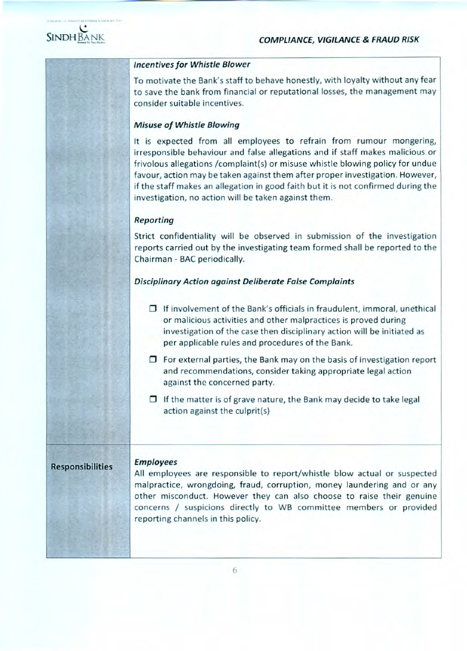

#### Incentives for Whistle Blower

To motivate the Bank's staff to behave honestly, with loyalty without any fear to save the bank from financial or reputational losses, the management may consider suitable incentives.

#### Misuse of Whistle Blowing

It is expected from all employees to refrain from rumour mongering, irresponsible behaviour and false allegations and if staff makes malicious or frivolous allegations /complaint(s) or misuse whistle blowing policy for undue favour, action may be taken against them after proper investigation. However, if the staff makes an allegation in good faith but it is not confirmed during the investigation, no action will be taken against them.

#### Reporting

Strict confidentiality will be observed in submission of the investigation reports carried out by the investigating team formed shall be reported to the Chairman - BAC periodically.

#### Disciplinary Action against Deliberate False Complaints

- $\Box$  If involvement of the Bank's officials in fraudulent, immoral, unethical or malicious activities and other malpractices is proved during investigation of the case then disciplinary action will be initiated as per applicable rules and procedures of the Bank.
- $\Box$  For external parties, the Bank may on the basis of investigation report and recommendations, consider taking appropriate legal action against the concerned party.
- $\Box$  If the matter is of grave nature, the Bank may decide to take legal action against the culprit(s)

#### **Responsibilities**

#### Employees

All employees are responsible to report/whistle blow actual or suspected malpractice, wrongdoing, fraud, corruption, money laundering and or any other misconduct. However they can also choose to raise their genuine concerns / suspicions directly to WB committee members or provided reporting channels in this policy.

6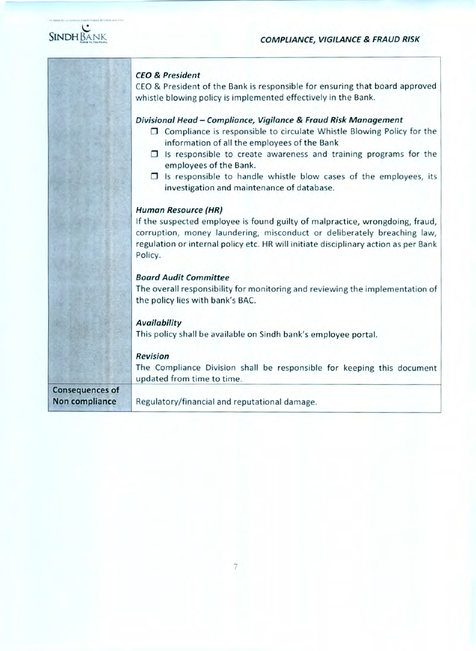

|                                          | <b>CEO &amp; President</b><br>CEO & President of the Bank is responsible for ensuring that board approved<br>whistle blowing policy is implemented effectively in the Bank.                                                                                                                                                                                                                                                    |
|------------------------------------------|--------------------------------------------------------------------------------------------------------------------------------------------------------------------------------------------------------------------------------------------------------------------------------------------------------------------------------------------------------------------------------------------------------------------------------|
|                                          | Divisional Head - Compliance, Vigilance & Fraud Risk Management<br>$\Box$ Compliance is responsible to circulate Whistle Blowing Policy for the<br>information of all the employees of the Bank<br>$\Box$ Is responsible to create awareness and training programs for the<br>employees of the Bank.<br>$\Box$ Is responsible to handle whistle blow cases of the employees, its<br>investigation and maintenance of database. |
|                                          | <b>Human Resource (HR)</b><br>If the suspected employee is found guilty of malpractice, wrongdoing, fraud,<br>corruption, money laundering, misconduct or deliberately breaching law,<br>regulation or internal policy etc. HR will initiate disciplinary action as per Bank<br>Policy.                                                                                                                                        |
|                                          | <b>Board Audit Committee</b><br>The overall responsibility for monitoring and reviewing the implementation of<br>the policy lies with bank's BAC.                                                                                                                                                                                                                                                                              |
|                                          | <b>Availability</b><br>This policy shall be available on Sindh bank's employee portal.                                                                                                                                                                                                                                                                                                                                         |
|                                          | <b>Revision</b><br>The Compliance Division shall be responsible for keeping this document<br>updated from time to time.                                                                                                                                                                                                                                                                                                        |
| <b>Consequences of</b><br>Non compliance | Regulatory/financial and reputational damage.                                                                                                                                                                                                                                                                                                                                                                                  |